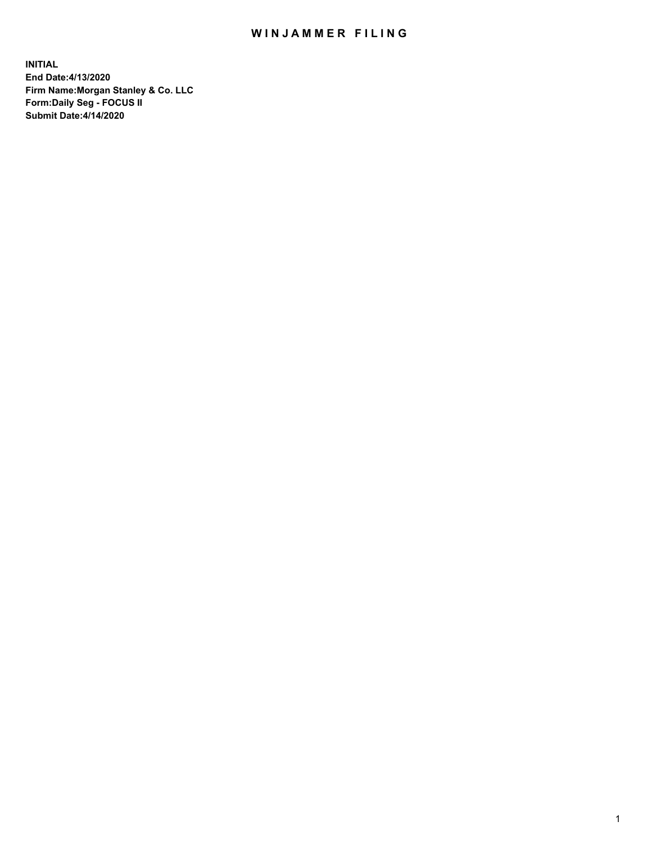## WIN JAMMER FILING

**INITIAL End Date:4/13/2020 Firm Name:Morgan Stanley & Co. LLC Form:Daily Seg - FOCUS II Submit Date:4/14/2020**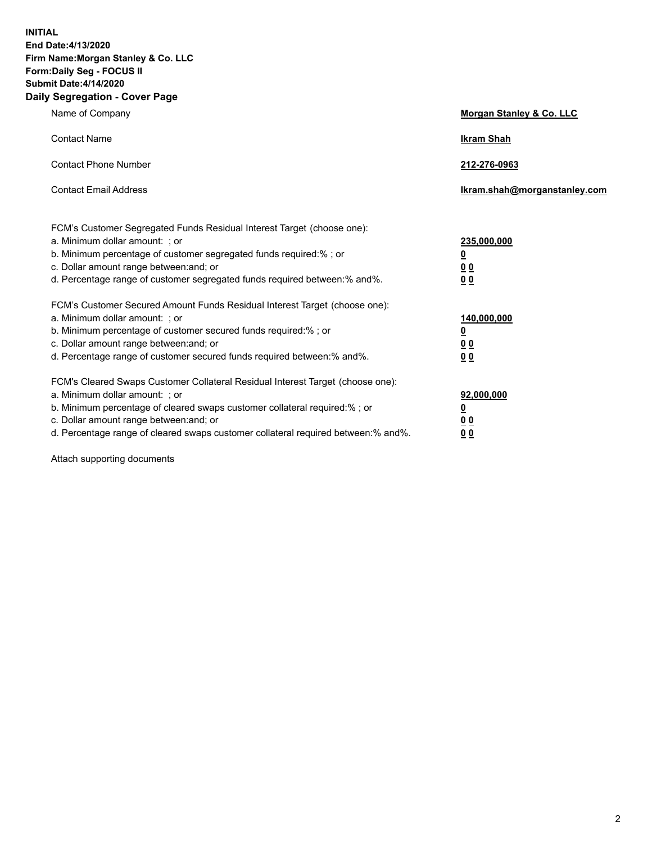**INITIAL End Date:4/13/2020 Firm Name:Morgan Stanley & Co. LLC Form:Daily Seg - FOCUS II Submit Date:4/14/2020 Daily Segregation - Cover Page**

| Name of Company                                                                                                                                                                                                                                                                                                                | Morgan Stanley & Co. LLC                               |
|--------------------------------------------------------------------------------------------------------------------------------------------------------------------------------------------------------------------------------------------------------------------------------------------------------------------------------|--------------------------------------------------------|
| <b>Contact Name</b>                                                                                                                                                                                                                                                                                                            | <b>Ikram Shah</b>                                      |
| <b>Contact Phone Number</b>                                                                                                                                                                                                                                                                                                    | 212-276-0963                                           |
| <b>Contact Email Address</b>                                                                                                                                                                                                                                                                                                   | Ikram.shah@morganstanley.com                           |
| FCM's Customer Segregated Funds Residual Interest Target (choose one):<br>a. Minimum dollar amount: ; or<br>b. Minimum percentage of customer segregated funds required:% ; or<br>c. Dollar amount range between: and; or<br>d. Percentage range of customer segregated funds required between: % and %.                       | 235,000,000<br><u>0</u><br>00<br>0 <sub>0</sub>        |
| FCM's Customer Secured Amount Funds Residual Interest Target (choose one):<br>a. Minimum dollar amount: ; or<br>b. Minimum percentage of customer secured funds required:% ; or<br>c. Dollar amount range between: and; or<br>d. Percentage range of customer secured funds required between:% and%.                           | 140,000,000<br><u>0</u><br><u>00</u><br>0 <sub>0</sub> |
| FCM's Cleared Swaps Customer Collateral Residual Interest Target (choose one):<br>a. Minimum dollar amount: ; or<br>b. Minimum percentage of cleared swaps customer collateral required:% ; or<br>c. Dollar amount range between: and; or<br>d. Percentage range of cleared swaps customer collateral required between:% and%. | 92,000,000<br><u>0</u><br><u>00</u><br>00              |

Attach supporting documents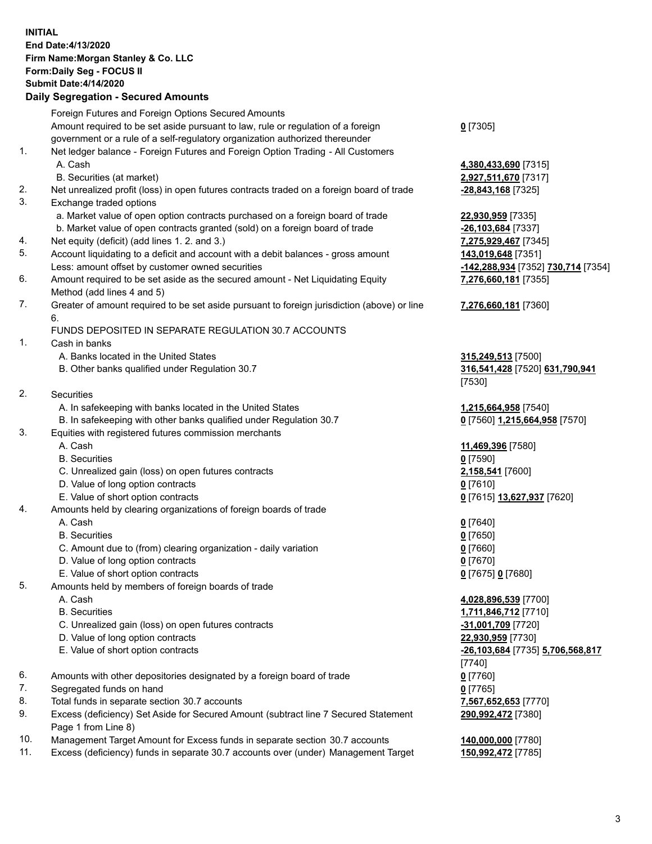## **INITIAL End Date:4/13/2020 Firm Name:Morgan Stanley & Co. LLC Form:Daily Seg - FOCUS II Submit Date:4/14/2020**

## **Daily Segregation - Secured Amounts**

|     | Foreign Futures and Foreign Options Secured Amounts                                                          |                                                        |
|-----|--------------------------------------------------------------------------------------------------------------|--------------------------------------------------------|
|     | Amount required to be set aside pursuant to law, rule or regulation of a foreign                             | $0$ [7305]                                             |
|     | government or a rule of a self-regulatory organization authorized thereunder                                 |                                                        |
| 1.  | Net ledger balance - Foreign Futures and Foreign Option Trading - All Customers                              |                                                        |
|     | A. Cash                                                                                                      | 4,380,433,690 [7315]                                   |
|     | B. Securities (at market)                                                                                    | 2,927,511,670 [7317]                                   |
| 2.  | Net unrealized profit (loss) in open futures contracts traded on a foreign board of trade                    | <u>-28,843,168</u> [7325]                              |
| 3.  | Exchange traded options                                                                                      |                                                        |
|     | a. Market value of open option contracts purchased on a foreign board of trade                               | 22,930,959 [7335]                                      |
|     | b. Market value of open contracts granted (sold) on a foreign board of trade                                 | -26,103,684 [7337]                                     |
| 4.  | Net equity (deficit) (add lines 1.2. and 3.)                                                                 | 7,275,929,467 [7345]                                   |
| 5.  | Account liquidating to a deficit and account with a debit balances - gross amount                            | 143,019,648 [7351]                                     |
|     | Less: amount offset by customer owned securities                                                             | <mark>-142,288,934</mark> [7352] <b>730,714</b> [7354] |
| 6.  | Amount required to be set aside as the secured amount - Net Liquidating Equity<br>Method (add lines 4 and 5) | 7,276,660,181 [7355]                                   |
| 7.  | Greater of amount required to be set aside pursuant to foreign jurisdiction (above) or line                  | 7,276,660,181 [7360]                                   |
|     | 6.                                                                                                           |                                                        |
|     | FUNDS DEPOSITED IN SEPARATE REGULATION 30.7 ACCOUNTS                                                         |                                                        |
| 1.  | Cash in banks                                                                                                |                                                        |
|     | A. Banks located in the United States                                                                        | 315,249,513 [7500]                                     |
|     | B. Other banks qualified under Regulation 30.7                                                               | 316,541,428 [7520] 631,790,941                         |
|     |                                                                                                              | [7530]                                                 |
| 2.  | Securities                                                                                                   |                                                        |
|     | A. In safekeeping with banks located in the United States                                                    | 1,215,664,958 [7540]                                   |
|     | B. In safekeeping with other banks qualified under Regulation 30.7                                           | 0 [7560] 1,215,664,958 [7570]                          |
| 3.  | Equities with registered futures commission merchants                                                        |                                                        |
|     | A. Cash                                                                                                      | 11,469,396 [7580]                                      |
|     | <b>B.</b> Securities                                                                                         | $0$ [7590]                                             |
|     | C. Unrealized gain (loss) on open futures contracts                                                          | 2,158,541 [7600]                                       |
|     | D. Value of long option contracts                                                                            | $0$ [7610]                                             |
|     | E. Value of short option contracts                                                                           | 0 [7615] 13,627,937 [7620]                             |
| 4.  | Amounts held by clearing organizations of foreign boards of trade                                            |                                                        |
|     | A. Cash                                                                                                      | $0$ [7640]                                             |
|     | <b>B.</b> Securities                                                                                         | $0$ [7650]                                             |
|     | C. Amount due to (from) clearing organization - daily variation                                              | $0$ [7660]                                             |
|     | D. Value of long option contracts                                                                            | $0$ [7670]                                             |
|     | E. Value of short option contracts                                                                           | 0 [7675] 0 [7680]                                      |
| 5.  | Amounts held by members of foreign boards of trade                                                           |                                                        |
|     | A. Cash                                                                                                      | 4,028,896,539 [7700]                                   |
|     | <b>B.</b> Securities                                                                                         | 1,711,846,712 [7710]                                   |
|     | C. Unrealized gain (loss) on open futures contracts                                                          | -31,001,709 [7720]                                     |
|     | D. Value of long option contracts                                                                            | 22,930,959 [7730]                                      |
|     | E. Value of short option contracts                                                                           | -26,103,684 [7735] 5,706,568,817                       |
| 6.  | Amounts with other depositories designated by a foreign board of trade                                       | [7740]<br>$0$ [7760]                                   |
| 7.  | Segregated funds on hand                                                                                     | $0$ [7765]                                             |
| 8.  | Total funds in separate section 30.7 accounts                                                                | 7,567,652,653 [7770]                                   |
| 9.  | Excess (deficiency) Set Aside for Secured Amount (subtract line 7 Secured Statement                          | 290,992,472 [7380]                                     |
|     | Page 1 from Line 8)                                                                                          |                                                        |
| 10. | Management Target Amount for Excess funds in separate section 30.7 accounts                                  | 140,000,000 [7780]                                     |

- 
- 11. Excess (deficiency) funds in separate 30.7 accounts over (under) Management Target **150,992,472** [7785]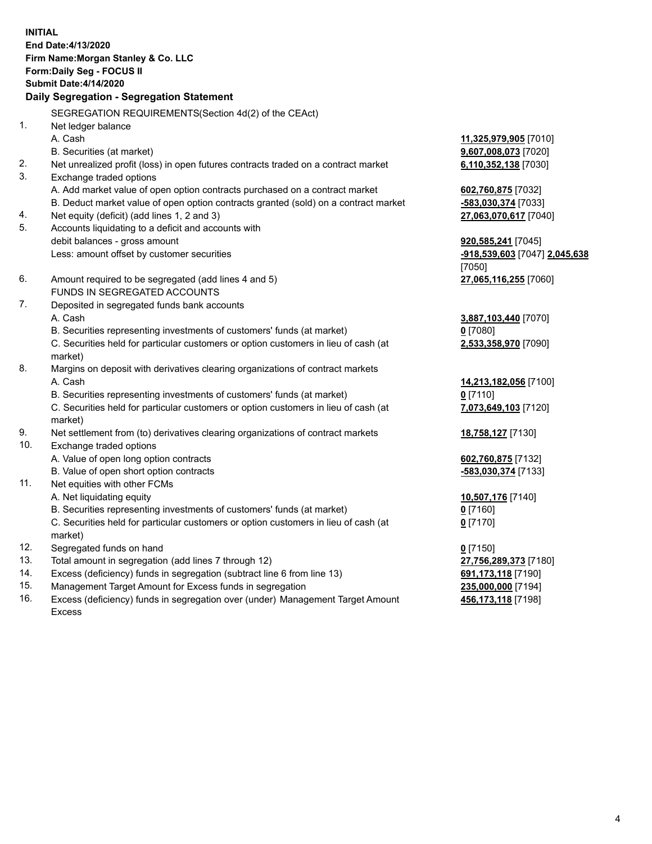**INITIAL End Date:4/13/2020 Firm Name:Morgan Stanley & Co. LLC Form:Daily Seg - FOCUS II Submit Date:4/14/2020 Daily Segregation - Segregation Statement** SEGREGATION REQUIREMENTS(Section 4d(2) of the CEAct) 1. Net ledger balance A. Cash **11,325,979,905** [7010] B. Securities (at market) **9,607,008,073** [7020] 2. Net unrealized profit (loss) in open futures contracts traded on a contract market **6,110,352,138** [7030] 3. Exchange traded options A. Add market value of open option contracts purchased on a contract market **602,760,875** [7032] B. Deduct market value of open option contracts granted (sold) on a contract market **-583,030,374** [7033] 4. Net equity (deficit) (add lines 1, 2 and 3) **27,063,070,617** [7040] 5. Accounts liquidating to a deficit and accounts with debit balances - gross amount **920,585,241** [7045] Less: amount offset by customer securities **-918,539,603** [7047] **2,045,638** [7050] 6. Amount required to be segregated (add lines 4 and 5) **27,065,116,255** [7060] FUNDS IN SEGREGATED ACCOUNTS 7. Deposited in segregated funds bank accounts A. Cash **3,887,103,440** [7070] B. Securities representing investments of customers' funds (at market) **0** [7080] C. Securities held for particular customers or option customers in lieu of cash (at market) **2,533,358,970** [7090] 8. Margins on deposit with derivatives clearing organizations of contract markets A. Cash **14,213,182,056** [7100] B. Securities representing investments of customers' funds (at market) **0** [7110] C. Securities held for particular customers or option customers in lieu of cash (at market) **7,073,649,103** [7120] 9. Net settlement from (to) derivatives clearing organizations of contract markets **18,758,127** [7130] 10. Exchange traded options A. Value of open long option contracts **602,760,875** [7132] B. Value of open short option contracts **-583,030,374** [7133] 11. Net equities with other FCMs A. Net liquidating equity **10,507,176** [7140] B. Securities representing investments of customers' funds (at market) **0** [7160] C. Securities held for particular customers or option customers in lieu of cash (at market) **0** [7170] 12. Segregated funds on hand **0** [7150] 13. Total amount in segregation (add lines 7 through 12) **27,756,289,373** [7180] 14. Excess (deficiency) funds in segregation (subtract line 6 from line 13) **691,173,118** [7190] 15. Management Target Amount for Excess funds in segregation **235,000,000** [7194]

16. Excess (deficiency) funds in segregation over (under) Management Target Amount Excess

**456,173,118** [7198]